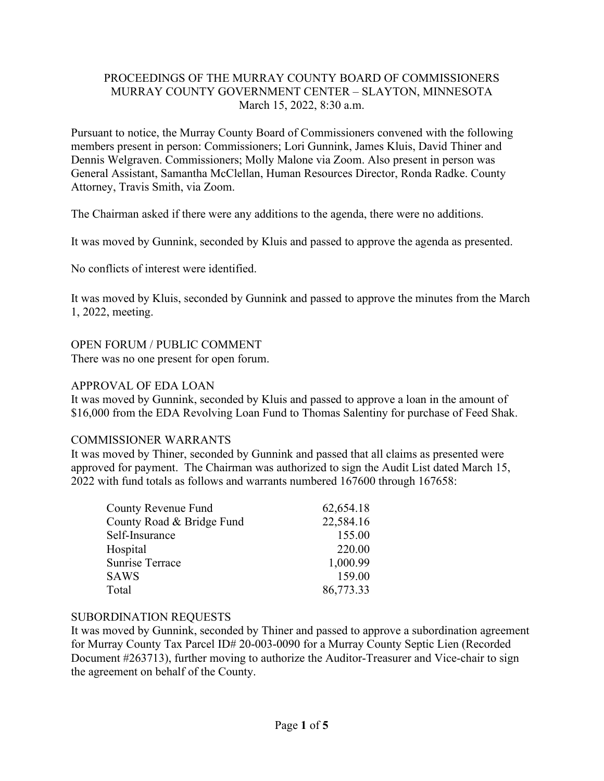## PROCEEDINGS OF THE MURRAY COUNTY BOARD OF COMMISSIONERS MURRAY COUNTY GOVERNMENT CENTER – SLAYTON, MINNESOTA March 15, 2022, 8:30 a.m.

Pursuant to notice, the Murray County Board of Commissioners convened with the following members present in person: Commissioners; Lori Gunnink, James Kluis, David Thiner and Dennis Welgraven. Commissioners; Molly Malone via Zoom. Also present in person was General Assistant, Samantha McClellan, Human Resources Director, Ronda Radke. County Attorney, Travis Smith, via Zoom.

The Chairman asked if there were any additions to the agenda, there were no additions.

It was moved by Gunnink, seconded by Kluis and passed to approve the agenda as presented.

No conflicts of interest were identified.

It was moved by Kluis, seconded by Gunnink and passed to approve the minutes from the March 1, 2022, meeting.

## OPEN FORUM / PUBLIC COMMENT

There was no one present for open forum.

## APPROVAL OF EDA LOAN

It was moved by Gunnink, seconded by Kluis and passed to approve a loan in the amount of \$16,000 from the EDA Revolving Loan Fund to Thomas Salentiny for purchase of Feed Shak.

#### COMMISSIONER WARRANTS

It was moved by Thiner, seconded by Gunnink and passed that all claims as presented were approved for payment. The Chairman was authorized to sign the Audit List dated March 15, 2022 with fund totals as follows and warrants numbered 167600 through 167658:

| County Revenue Fund       | 62,654.18 |
|---------------------------|-----------|
| County Road & Bridge Fund | 22,584.16 |
| Self-Insurance            | 155.00    |
| Hospital                  | 220.00    |
| <b>Sunrise Terrace</b>    | 1,000.99  |
| <b>SAWS</b>               | 159.00    |
| Total                     | 86,773.33 |

## SUBORDINATION REQUESTS

It was moved by Gunnink, seconded by Thiner and passed to approve a subordination agreement for Murray County Tax Parcel ID# 20-003-0090 for a Murray County Septic Lien (Recorded Document #263713), further moving to authorize the Auditor-Treasurer and Vice-chair to sign the agreement on behalf of the County.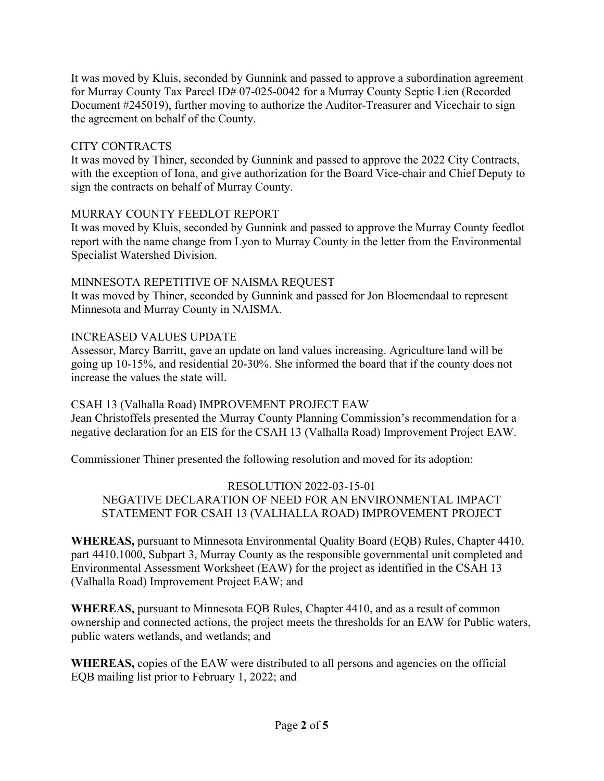It was moved by Kluis, seconded by Gunnink and passed to approve a subordination agreement for Murray County Tax Parcel ID# 07-025-0042 for a Murray County Septic Lien (Recorded Document #245019), further moving to authorize the Auditor-Treasurer and Vicechair to sign the agreement on behalf of the County.

# CITY CONTRACTS

It was moved by Thiner, seconded by Gunnink and passed to approve the 2022 City Contracts, with the exception of Iona, and give authorization for the Board Vice-chair and Chief Deputy to sign the contracts on behalf of Murray County.

## MURRAY COUNTY FEEDLOT REPORT

It was moved by Kluis, seconded by Gunnink and passed to approve the Murray County feedlot report with the name change from Lyon to Murray County in the letter from the Environmental Specialist Watershed Division.

## MINNESOTA REPETITIVE OF NAISMA REQUEST

It was moved by Thiner, seconded by Gunnink and passed for Jon Bloemendaal to represent Minnesota and Murray County in NAISMA.

# INCREASED VALUES UPDATE

Assessor, Marcy Barritt, gave an update on land values increasing. Agriculture land will be going up 10-15%, and residential 20-30%. She informed the board that if the county does not increase the values the state will.

# CSAH 13 (Valhalla Road) IMPROVEMENT PROJECT EAW

Jean Christoffels presented the Murray County Planning Commission's recommendation for a negative declaration for an EIS for the CSAH 13 (Valhalla Road) Improvement Project EAW.

Commissioner Thiner presented the following resolution and moved for its adoption:

RESOLUTION 2022-03-15-01 NEGATIVE DECLARATION OF NEED FOR AN ENVIRONMENTAL IMPACT STATEMENT FOR CSAH 13 (VALHALLA ROAD) IMPROVEMENT PROJECT

**WHEREAS,** pursuant to Minnesota Environmental Quality Board (EQB) Rules, Chapter 4410, part 4410.1000, Subpart 3, Murray County as the responsible governmental unit completed and Environmental Assessment Worksheet (EAW) for the project as identified in the CSAH 13 (Valhalla Road) Improvement Project EAW; and

**WHEREAS,** pursuant to Minnesota EQB Rules, Chapter 4410, and as a result of common ownership and connected actions, the project meets the thresholds for an EAW for Public waters, public waters wetlands, and wetlands; and

**WHEREAS,** copies of the EAW were distributed to all persons and agencies on the official EQB mailing list prior to February 1, 2022; and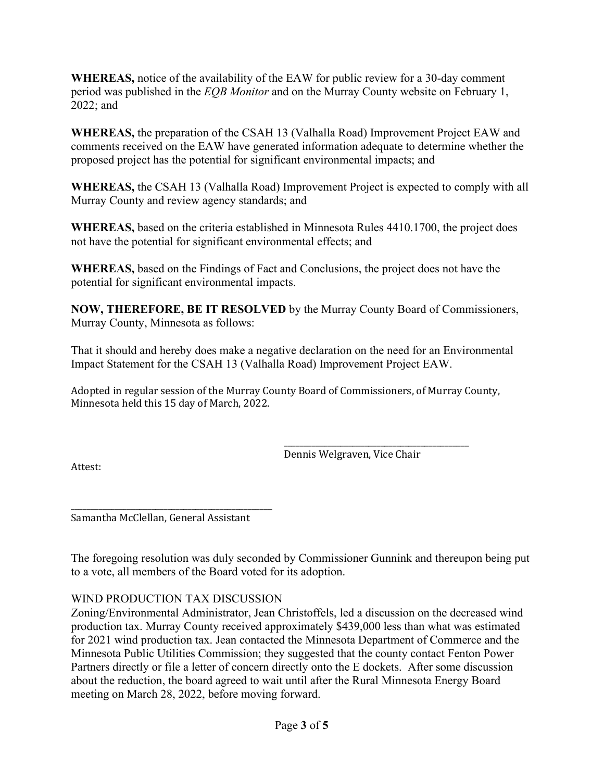**WHEREAS,** notice of the availability of the EAW for public review for a 30-day comment period was published in the *EQB Monitor* and on the Murray County website on February 1, 2022; and

**WHEREAS,** the preparation of the CSAH 13 (Valhalla Road) Improvement Project EAW and comments received on the EAW have generated information adequate to determine whether the proposed project has the potential for significant environmental impacts; and

**WHEREAS,** the CSAH 13 (Valhalla Road) Improvement Project is expected to comply with all Murray County and review agency standards; and

**WHEREAS,** based on the criteria established in Minnesota Rules 4410.1700, the project does not have the potential for significant environmental effects; and

**WHEREAS,** based on the Findings of Fact and Conclusions, the project does not have the potential for significant environmental impacts.

**NOW, THEREFORE, BE IT RESOLVED** by the Murray County Board of Commissioners, Murray County, Minnesota as follows:

That it should and hereby does make a negative declaration on the need for an Environmental Impact Statement for the CSAH 13 (Valhalla Road) Improvement Project EAW.

Adopted in regular session of the Murray County Board of Commissioners, of Murray County, Minnesota held this 15 day of March, 2022.

> \_\_\_\_\_\_\_\_\_\_\_\_\_\_\_\_\_\_\_\_\_\_\_\_\_\_\_\_\_\_\_\_\_\_\_\_\_\_\_\_\_\_\_\_\_\_ Dennis Welgraven, Vice Chair

Attest:

\_\_\_\_\_\_\_\_\_\_\_\_\_\_\_\_\_\_\_\_\_\_\_\_\_\_\_\_\_\_\_\_\_\_\_\_\_\_\_\_\_\_\_\_\_\_\_\_\_\_ Samantha McClellan, General Assistant

The foregoing resolution was duly seconded by Commissioner Gunnink and thereupon being put to a vote, all members of the Board voted for its adoption.

# WIND PRODUCTION TAX DISCUSSION

Zoning/Environmental Administrator, Jean Christoffels, led a discussion on the decreased wind production tax. Murray County received approximately \$439,000 less than what was estimated for 2021 wind production tax. Jean contacted the Minnesota Department of Commerce and the Minnesota Public Utilities Commission; they suggested that the county contact Fenton Power Partners directly or file a letter of concern directly onto the E dockets. After some discussion about the reduction, the board agreed to wait until after the Rural Minnesota Energy Board meeting on March 28, 2022, before moving forward.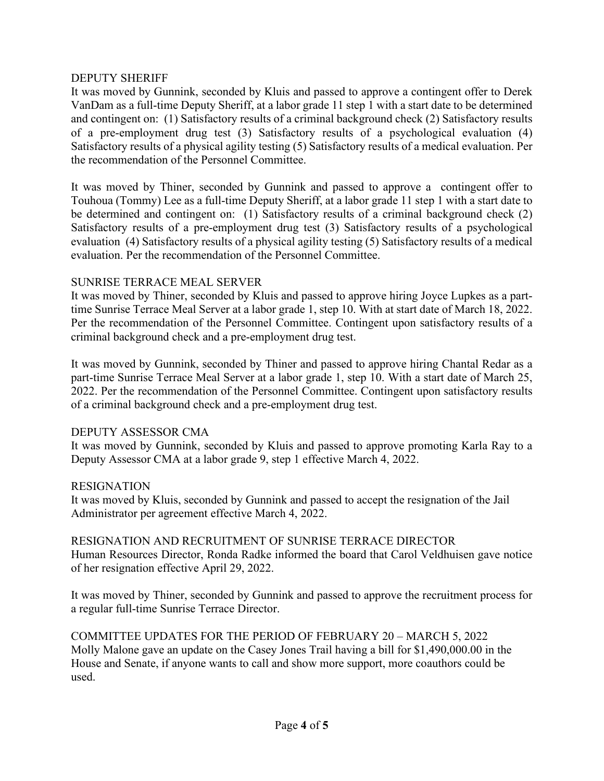### DEPUTY SHERIFF

It was moved by Gunnink, seconded by Kluis and passed to approve a contingent offer to Derek VanDam as a full-time Deputy Sheriff, at a labor grade 11 step 1 with a start date to be determined and contingent on: (1) Satisfactory results of a criminal background check (2) Satisfactory results of a pre-employment drug test (3) Satisfactory results of a psychological evaluation (4) Satisfactory results of a physical agility testing (5) Satisfactory results of a medical evaluation. Per the recommendation of the Personnel Committee.

It was moved by Thiner, seconded by Gunnink and passed to approve a contingent offer to Touhoua (Tommy) Lee as a full-time Deputy Sheriff, at a labor grade 11 step 1 with a start date to be determined and contingent on: (1) Satisfactory results of a criminal background check (2) Satisfactory results of a pre-employment drug test (3) Satisfactory results of a psychological evaluation (4) Satisfactory results of a physical agility testing (5) Satisfactory results of a medical evaluation. Per the recommendation of the Personnel Committee.

#### SUNRISE TERRACE MEAL SERVER

It was moved by Thiner, seconded by Kluis and passed to approve hiring Joyce Lupkes as a parttime Sunrise Terrace Meal Server at a labor grade 1, step 10. With at start date of March 18, 2022. Per the recommendation of the Personnel Committee. Contingent upon satisfactory results of a criminal background check and a pre-employment drug test.

It was moved by Gunnink, seconded by Thiner and passed to approve hiring Chantal Redar as a part-time Sunrise Terrace Meal Server at a labor grade 1, step 10. With a start date of March 25, 2022. Per the recommendation of the Personnel Committee. Contingent upon satisfactory results of a criminal background check and a pre-employment drug test.

#### DEPUTY ASSESSOR CMA

It was moved by Gunnink, seconded by Kluis and passed to approve promoting Karla Ray to a Deputy Assessor CMA at a labor grade 9, step 1 effective March 4, 2022.

#### RESIGNATION

It was moved by Kluis, seconded by Gunnink and passed to accept the resignation of the Jail Administrator per agreement effective March 4, 2022.

## RESIGNATION AND RECRUITMENT OF SUNRISE TERRACE DIRECTOR

Human Resources Director, Ronda Radke informed the board that Carol Veldhuisen gave notice of her resignation effective April 29, 2022.

It was moved by Thiner, seconded by Gunnink and passed to approve the recruitment process for a regular full-time Sunrise Terrace Director.

COMMITTEE UPDATES FOR THE PERIOD OF FEBRUARY 20 – MARCH 5, 2022 Molly Malone gave an update on the Casey Jones Trail having a bill for \$1,490,000.00 in the House and Senate, if anyone wants to call and show more support, more coauthors could be used.